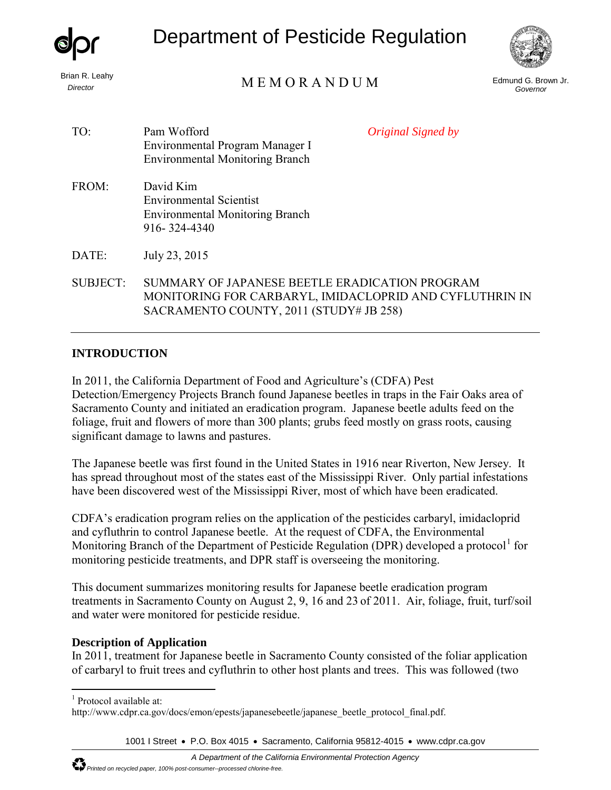

### **INTRODUCTION**

In 2011, the California Department of Food and Agriculture's (CDFA) Pest Detection/Emergency Projects Branch found Japanese beetles in traps in the Fair Oaks area of Sacramento County and initiated an eradication program. Japanese beetle adults feed on the foliage, fruit and flowers of more than 300 plants; grubs feed mostly on grass roots, causing significant damage to lawns and pastures.

The Japanese beetle was first found in the United States in 1916 near Riverton, New Jersey. It has spread throughout most of the states east of the Mississippi River. Only partial infestations have been discovered west of the Mississippi River, most of which have been eradicated.

CDFA's eradication program relies on the application of the pesticides carbaryl, imidacloprid and cyfluthrin to control Japanese beetle. At the request of CDFA, the Environmental Monitoring Branch of the Department of Pesticide Regulation (DPR) developed a protocol<sup>[1](#page-0-0)</sup> for monitoring pesticide treatments, and DPR staff is overseeing the monitoring.

This document summarizes monitoring results for Japanese beetle eradication program treatments in Sacramento County on August 2, 9, 16 and 23 of 2011. Air, foliage, fruit, turf/soil and water were monitored for pesticide residue.

#### **Description of Application**

In 2011, treatment for Japanese beetle in Sacramento County consisted of the foliar application of carbaryl to fruit trees and cyfluthrin to other host plants and trees. This was followed (two

1001 I Street • P.O. Box 4015 • Sacramento, California 95812-4015 • [www.cdpr.ca.gov](http://www.cdpr.ca.gov/)

 $\overline{a}$  $1$  Protocol available at:

<span id="page-0-0"></span>http://www.cdpr.ca.gov/docs/emon/epests/japanesebeetle/japanese\_beetle\_protocol\_final.pdf.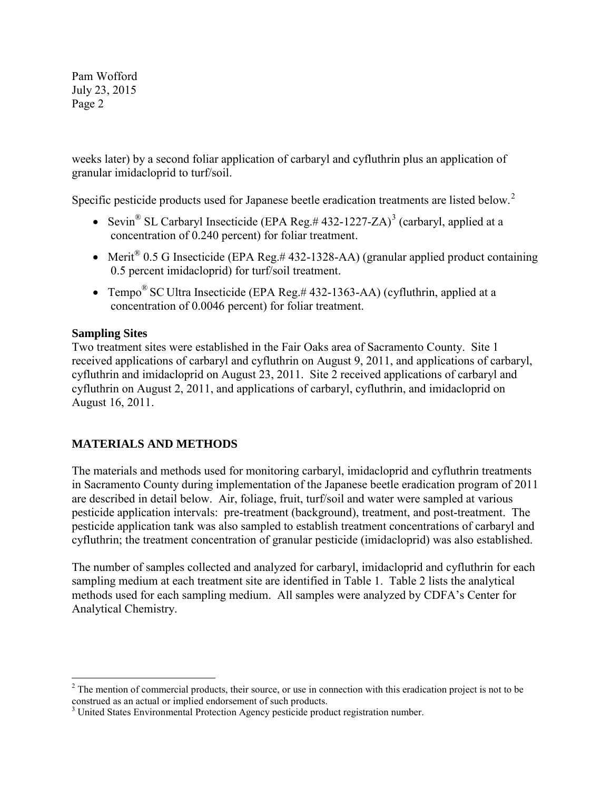weeks later) by a second foliar application of carbaryl and cyfluthrin plus an application of granular imidacloprid to turf/soil.

Specific pesticide products used for Japanese beetle eradication treatments are listed below.<sup>[2](#page-1-0)</sup>

- Sevin<sup>®</sup> SL Carbaryl Insecticide (EPA Reg.# 4[3](#page-1-1)2-1227-ZA)<sup>3</sup> (carbaryl, applied at a concentration of 0.240 percent) for foliar treatment.
- Merit<sup>®</sup> 0.5 G Insecticide (EPA Reg.#432-1328-AA) (granular applied product containing 0.5 percent imidacloprid) for turf/soil treatment.
- Tempo<sup>®</sup> SC Ultra Insecticide (EPA Reg.#432-1363-AA) (cyfluthrin, applied at a concentration of 0.0046 percent) for foliar treatment.

# **Sampling Sites**

Two treatment sites were established in the Fair Oaks area of Sacramento County. Site 1 received applications of carbaryl and cyfluthrin on August 9, 2011, and applications of carbaryl, cyfluthrin and imidacloprid on August 23, 2011. Site 2 received applications of carbaryl and cyfluthrin on August 2, 2011, and applications of carbaryl, cyfluthrin, and imidacloprid on August 16, 2011.

# **MATERIALS AND METHODS**

The materials and methods used for monitoring carbaryl, imidacloprid and cyfluthrin treatments in Sacramento County during implementation of the Japanese beetle eradication program of 2011 are described in detail below. Air, foliage, fruit, turf/soil and water were sampled at various pesticide application intervals: pre-treatment (background), treatment, and post-treatment. The pesticide application tank was also sampled to establish treatment concentrations of carbaryl and cyfluthrin; the treatment concentration of granular pesticide (imidacloprid) was also established.

The number of samples collected and analyzed for carbaryl, imidacloprid and cyfluthrin for each sampling medium at each treatment site are identified in Table 1. Table 2 lists the analytical methods used for each sampling medium. All samples were analyzed by CDFA's Center for Analytical Chemistry.

<span id="page-1-0"></span> $\overline{a}$  $2<sup>2</sup>$  The mention of commercial products, their source, or use in connection with this eradication project is not to be construed as an actual or implied endorsement of such products.

<span id="page-1-1"></span><sup>&</sup>lt;sup>3</sup> United States Environmental Protection Agency pesticide product registration number.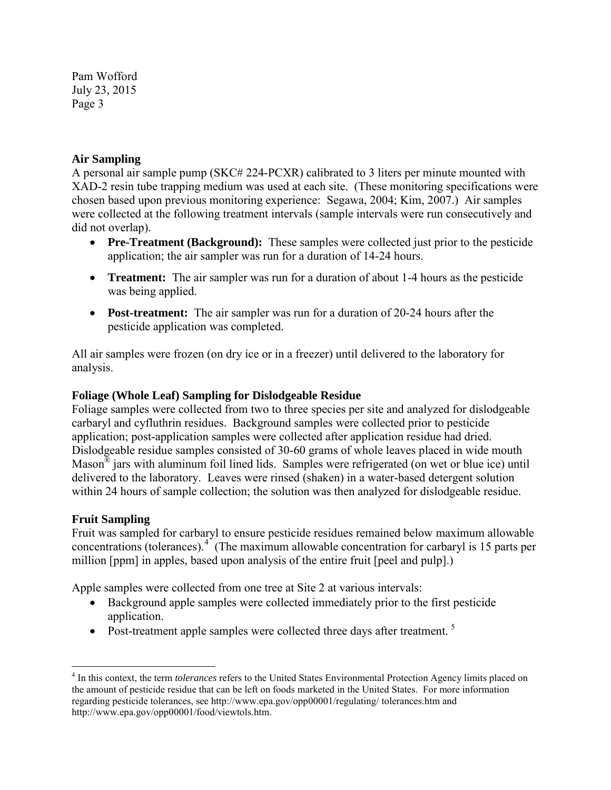### **Air Sampling**

A personal air sample pump (SKC# 224-PCXR) calibrated to 3 liters per minute mounted with XAD-2 resin tube trapping medium was used at each site. (These monitoring specifications were chosen based upon previous monitoring experience: Segawa, 2004; Kim, 2007.) Air samples were collected at the following treatment intervals (sample intervals were run consecutively and did not overlap).

- **Pre-Treatment (Background):** These samples were collected just prior to the pesticide application; the air sampler was run for a duration of 14-24 hours.
- **Treatment:** The air sampler was run for a duration of about 1-4 hours as the pesticide was being applied.
- **Post-treatment:** The air sampler was run for a duration of 20-24 hours after the pesticide application was completed.

All air samples were frozen (on dry ice or in a freezer) until delivered to the laboratory for analysis.

#### **Foliage (Whole Leaf) Sampling for Dislodgeable Residue**

Foliage samples were collected from two to three species per site and analyzed for dislodgeable carbaryl and cyfluthrin residues. Background samples were collected prior to pesticide application; post-application samples were collected after application residue had dried. Dislodgeable residue samples consisted of 30-60 grams of whole leaves placed in wide mouth Mason® jars with aluminum foil lined lids. Samples were refrigerated (on wet or blue ice) until delivered to the laboratory. Leaves were rinsed (shaken) in a water-based detergent solution within 24 hours of sample collection; the solution was then analyzed for dislodgeable residue.

#### **Fruit Sampling**

Fruit was sampled for carbaryl to ensure pesticide residues remained below maximum allowable concentrations (tolerances).[4](#page-2-0) (The maximum allowable concentration for carbaryl is 15 parts per million [ppm] in apples, based upon analysis of the entire fruit [peel and pulp].)

Apple samples were collected from one tree at Site 2 at various intervals:

- Background apple samples were collected immediately prior to the first pesticide application.
- Post-treatment apple samples were collected three days after treatment.<sup>[5](#page-2-1)</sup>

<span id="page-2-1"></span><span id="page-2-0"></span> $\overline{a}$ <sup>4</sup> In this context, the term *tolerances* refers to the United States Environmental Protection Agency limits placed on the amount of pesticide residue that can be left on foods marketed in the United States. For more information regarding pesticide tolerances, see http://www.epa.gov/opp00001/regulating/ tolerances.htm and http://www.epa.gov/opp00001/food/viewtols.htm.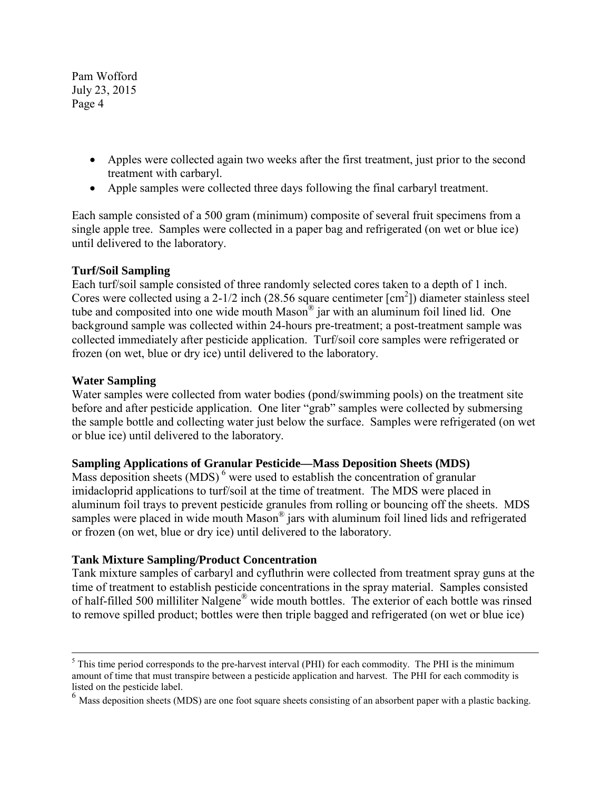- Apples were collected again two weeks after the first treatment, just prior to the second treatment with carbaryl.
- Apple samples were collected three days following the final carbaryl treatment.

Each sample consisted of a 500 gram (minimum) composite of several fruit specimens from a single apple tree. Samples were collected in a paper bag and refrigerated (on wet or blue ice) until delivered to the laboratory.

### **Turf/Soil Sampling**

Each turf/soil sample consisted of three randomly selected cores taken to a depth of 1 inch. Cores were collected using a  $2-1/2$  inch (28.56 square centimeter  $[cm^2]$ ) diameter stainless steel tube and composited into one wide mouth Mason® jar with an aluminum foil lined lid. One background sample was collected within 24-hours pre-treatment; a post-treatment sample was collected immediately after pesticide application. Turf/soil core samples were refrigerated or frozen (on wet, blue or dry ice) until delivered to the laboratory.

### **Water Sampling**

Water samples were collected from water bodies (pond/swimming pools) on the treatment site before and after pesticide application. One liter "grab" samples were collected by submersing the sample bottle and collecting water just below the surface. Samples were refrigerated (on wet or blue ice) until delivered to the laboratory.

## **Sampling Applications of Granular Pesticide—Mass Deposition Sheets (MDS)**

Mass deposition sheets  $(MDS)^6$  $(MDS)^6$  were used to establish the concentration of granular imidacloprid applications to turf/soil at the time of treatment. The MDS were placed in aluminum foil trays to prevent pesticide granules from rolling or bouncing off the sheets. MDS samples were placed in wide mouth Mason<sup>®</sup> jars with aluminum foil lined lids and refrigerated or frozen (on wet, blue or dry ice) until delivered to the laboratory.

## **Tank Mixture Sampling/Product Concentration**

Tank mixture samples of carbaryl and cyfluthrin were collected from treatment spray guns at the time of treatment to establish pesticide concentrations in the spray material. Samples consisted of half-filled 500 milliliter Nalgene® wide mouth bottles. The exterior of each bottle was rinsed to remove spilled product; bottles were then triple bagged and refrigerated (on wet or blue ice)

 $<sup>5</sup>$  This time period corresponds to the pre-harvest interval (PHI) for each commodity. The PHI is the minimum</sup> amount of time that must transpire between a pesticide application and harvest. The PHI for each commodity is listed on the pesticide label.

<span id="page-3-0"></span><sup>&</sup>lt;sup>6</sup> Mass deposition sheets (MDS) are one foot square sheets consisting of an absorbent paper with a plastic backing.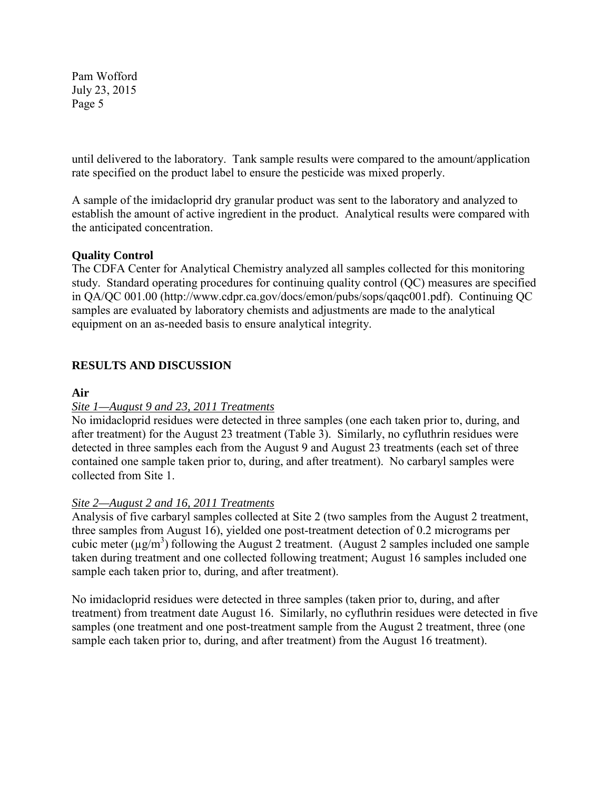until delivered to the laboratory. Tank sample results were compared to the amount/application rate specified on the product label to ensure the pesticide was mixed properly.

A sample of the imidacloprid dry granular product was sent to the laboratory and analyzed to establish the amount of active ingredient in the product. Analytical results were compared with the anticipated concentration.

## **Quality Control**

The CDFA Center for Analytical Chemistry analyzed all samples collected for this monitoring study. Standard operating procedures for continuing quality control (QC) measures are specified in QA/QC 001.00 (http://www.cdpr.ca.gov/docs/emon/pubs/sops/qaqc001.pdf). Continuing QC samples are evaluated by laboratory chemists and adjustments are made to the analytical equipment on an as-needed basis to ensure analytical integrity.

## **RESULTS AND DISCUSSION**

#### **Air**

#### *Site 1—August 9 and 23, 2011 Treatments*

No imidacloprid residues were detected in three samples (one each taken prior to, during, and after treatment) for the August 23 treatment (Table 3). Similarly, no cyfluthrin residues were detected in three samples each from the August 9 and August 23 treatments (each set of three contained one sample taken prior to, during, and after treatment). No carbaryl samples were collected from Site 1.

#### *Site 2—August 2 and 16, 2011 Treatments*

Analysis of five carbaryl samples collected at Site 2 (two samples from the August 2 treatment, three samples from August 16), yielded one post-treatment detection of 0.2 micrograms per cubic meter ( $\mu$ g/m<sup>3</sup>) following the August 2 treatment. (August 2 samples included one sample taken during treatment and one collected following treatment; August 16 samples included one sample each taken prior to, during, and after treatment).

No imidacloprid residues were detected in three samples (taken prior to, during, and after treatment) from treatment date August 16. Similarly, no cyfluthrin residues were detected in five samples (one treatment and one post-treatment sample from the August 2 treatment, three (one sample each taken prior to, during, and after treatment) from the August 16 treatment).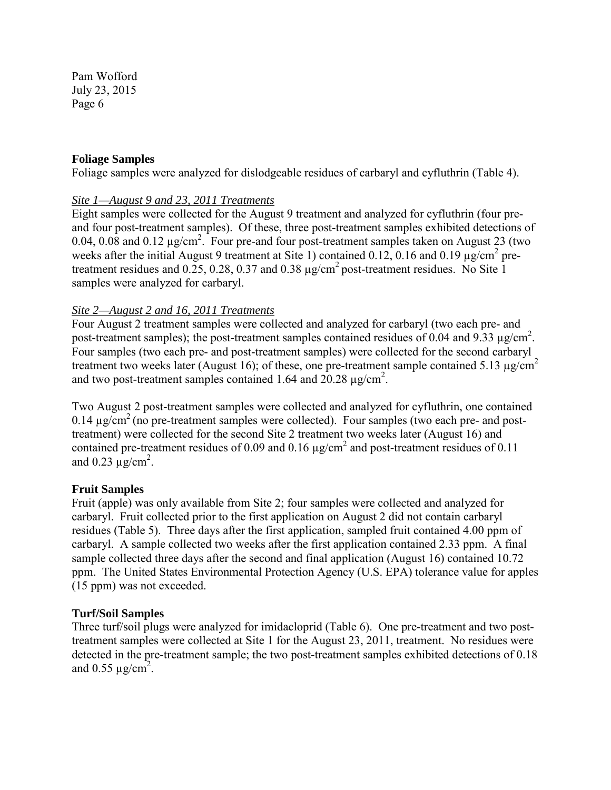#### **Foliage Samples**

Foliage samples were analyzed for dislodgeable residues of carbaryl and cyfluthrin (Table 4).

#### *Site 1—August 9 and 23, 2011 Treatments*

Eight samples were collected for the August 9 treatment and analyzed for cyfluthrin (four preand four post-treatment samples). Of these, three post-treatment samples exhibited detections of 0.04, 0.08 and 0.12  $\mu$ g/cm<sup>2</sup>. Four pre-and four post-treatment samples taken on August 23 (two weeks after the initial August 9 treatment at Site 1) contained 0.12, 0.16 and 0.19  $\mu$ g/cm<sup>2</sup> pretreatment residues and 0.25, 0.28, 0.37 and 0.38  $\mu$ g/cm<sup>2</sup> post-treatment residues. No Site 1 samples were analyzed for carbaryl.

#### *Site 2—August 2 and 16, 2011 Treatments*

Four August 2 treatment samples were collected and analyzed for carbaryl (two each pre- and post-treatment samples); the post-treatment samples contained residues of 0.04 and 9.33  $\mu$ g/cm<sup>2</sup>. Four samples (two each pre- and post-treatment samples) were collected for the second carbaryl treatment two weeks later (August 16); of these, one pre-treatment sample contained 5.13  $\mu$ g/cm<sup>2</sup> and two post-treatment samples contained 1.64 and  $20.28 \mu$ g/cm<sup>2</sup>.

Two August 2 post-treatment samples were collected and analyzed for cyfluthrin, one contained 0.14  $\mu$ g/cm<sup>2</sup> (no pre-treatment samples were collected). Four samples (two each pre- and posttreatment) were collected for the second Site 2 treatment two weeks later (August 16) and contained pre-treatment residues of 0.09 and 0.16  $\mu$ g/cm<sup>2</sup> and post-treatment residues of 0.11 and 0.23  $\mu$ g/cm<sup>2</sup>.

#### **Fruit Samples**

Fruit (apple) was only available from Site 2; four samples were collected and analyzed for carbaryl. Fruit collected prior to the first application on August 2 did not contain carbaryl residues (Table 5). Three days after the first application, sampled fruit contained 4.00 ppm of carbaryl. A sample collected two weeks after the first application contained 2.33 ppm. A final sample collected three days after the second and final application (August 16) contained 10.72 ppm. The United States Environmental Protection Agency (U.S. EPA) tolerance value for apples (15 ppm) was not exceeded.

#### **Turf/Soil Samples**

Three turf/soil plugs were analyzed for imidacloprid (Table 6). One pre-treatment and two posttreatment samples were collected at Site 1 for the August 23, 2011, treatment. No residues were detected in the pre-treatment sample; the two post-treatment samples exhibited detections of 0.18 and 0.55  $\mu$ g/cm<sup>2</sup>.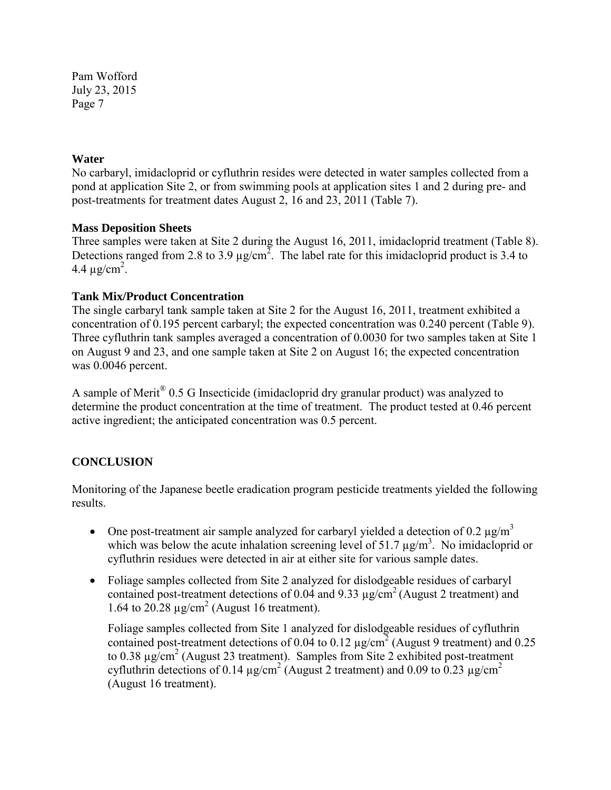#### **Water**

No carbaryl, imidacloprid or cyfluthrin resides were detected in water samples collected from a pond at application Site 2, or from swimming pools at application sites 1 and 2 during pre- and post-treatments for treatment dates August 2, 16 and 23, 2011 (Table 7).

#### **Mass Deposition Sheets**

Three samples were taken at Site 2 during the August 16, 2011, imidacloprid treatment (Table 8). Detections ranged from 2.8 to 3.9  $\mu$ g/cm<sup>2</sup>. The label rate for this imidacloprid product is 3.4 to 4.4  $\mu$ g/cm<sup>2</sup>.

#### **Tank Mix/Product Concentration**

The single carbaryl tank sample taken at Site 2 for the August 16, 2011, treatment exhibited a concentration of 0.195 percent carbaryl; the expected concentration was 0.240 percent (Table 9). Three cyfluthrin tank samples averaged a concentration of 0.0030 for two samples taken at Site 1 on August 9 and 23, and one sample taken at Site 2 on August 16; the expected concentration was 0.0046 percent.

A sample of Merit<sup>®</sup> 0.5 G Insecticide (imidacloprid dry granular product) was analyzed to determine the product concentration at the time of treatment. The product tested at 0.46 percent active ingredient; the anticipated concentration was 0.5 percent.

#### **CONCLUSION**

Monitoring of the Japanese beetle eradication program pesticide treatments yielded the following results.

- One post-treatment air sample analyzed for carbaryl yielded a detection of 0.2  $\mu$ g/m<sup>3</sup> which was below the acute inhalation screening level of 51.7  $\mu$ g/m<sup>3</sup>. No imidacloprid or cyfluthrin residues were detected in air at either site for various sample dates.
- Foliage samples collected from Site 2 analyzed for dislodgeable residues of carbaryl contained post-treatment detections of 0.04 and 9.33  $\mu$ g/cm<sup>2</sup> (August 2 treatment) and 1.64 to 20.28  $\mu$ g/cm<sup>2</sup> (August 16 treatment).

Foliage samples collected from Site 1 analyzed for dislodgeable residues of cyfluthrin contained post-treatment detections of 0.04 to 0.12  $\mu$ g/cm<sup>2</sup> (August 9 treatment) and 0.25 to 0.38  $\mu$ g/cm<sup>2</sup> (August 23 treatment). Samples from Site 2 exhibited post-treatment cyfluthrin detections of 0.14  $\mu$ g/cm<sup>2</sup> (August 2 treatment) and 0.09 to 0.23  $\mu$ g/cm<sup>2</sup> (August 16 treatment).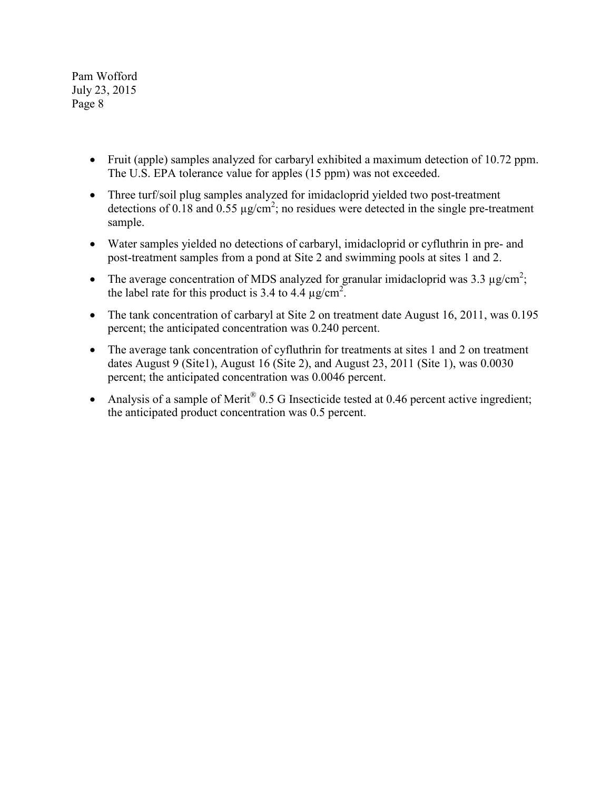- Fruit (apple) samples analyzed for carbaryl exhibited a maximum detection of 10.72 ppm. The U.S. EPA tolerance value for apples (15 ppm) was not exceeded.
- Three turf/soil plug samples analyzed for imidacloprid yielded two post-treatment detections of 0.18 and 0.55  $\mu$ g/cm<sup>2</sup>; no residues were detected in the single pre-treatment sample.
- Water samples yielded no detections of carbaryl, imidacloprid or cyfluthrin in pre- and post-treatment samples from a pond at Site 2 and swimming pools at sites 1 and 2.
- The average concentration of MDS analyzed for granular imidacloprid was 3.3  $\mu$ g/cm<sup>2</sup>; the label rate for this product is 3.4 to 4.4  $\mu$ g/cm<sup>2</sup>.
- The tank concentration of carbaryl at Site 2 on treatment date August 16, 2011, was 0.195 percent; the anticipated concentration was 0.240 percent.
- The average tank concentration of cyfluthrin for treatments at sites 1 and 2 on treatment dates August 9 (Site1), August 16 (Site 2), and August 23, 2011 (Site 1), was 0.0030 percent; the anticipated concentration was 0.0046 percent.
- Analysis of a sample of Merit<sup>®</sup> 0.5 G Insecticide tested at 0.46 percent active ingredient; the anticipated product concentration was 0.5 percent.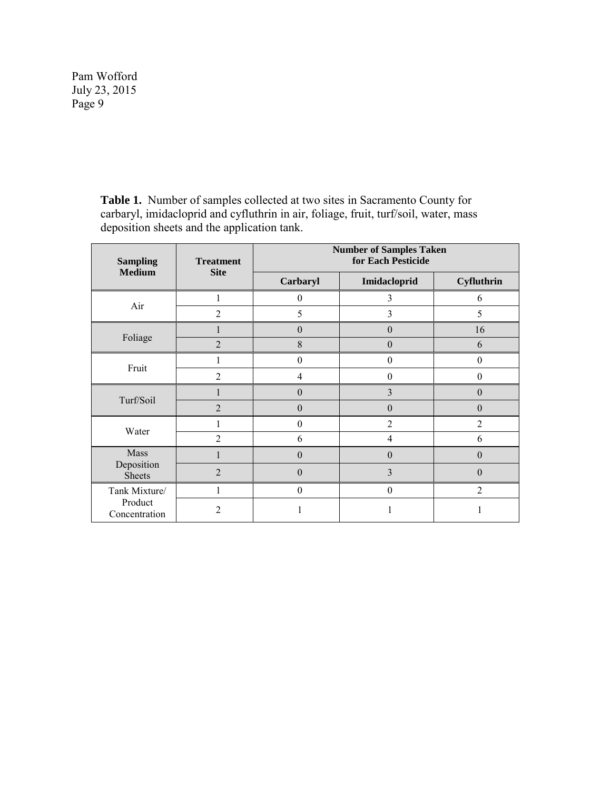> **Table 1.** Number of samples collected at two sites in Sacramento County for carbaryl, imidacloprid and cyfluthrin in air, foliage, fruit, turf/soil, water, mass deposition sheets and the application tank.

| <b>Sampling</b><br><b>Medium</b> | <b>Treatment</b> | <b>Number of Samples Taken</b><br>for Each Pesticide |                  |                  |  |
|----------------------------------|------------------|------------------------------------------------------|------------------|------------------|--|
|                                  | <b>Site</b>      | Carbaryl                                             | Imidacloprid     | Cyfluthrin       |  |
| Air                              |                  | $\theta$                                             | 3                | 6                |  |
|                                  | $\overline{2}$   | 5                                                    | 3                | 5                |  |
| Foliage                          |                  | $\mathbf{0}$                                         | $\boldsymbol{0}$ | 16               |  |
|                                  | $\overline{2}$   | 8                                                    | $\overline{0}$   | 6                |  |
| Fruit                            |                  | $\boldsymbol{0}$                                     | $\boldsymbol{0}$ | $\boldsymbol{0}$ |  |
|                                  | $\overline{2}$   | 4                                                    | 0                | $\theta$         |  |
| Turf/Soil                        |                  | $\mathbf{0}$                                         | 3                | $\boldsymbol{0}$ |  |
|                                  | $\overline{2}$   | $\mathbf{0}$                                         | $\overline{0}$   | $\theta$         |  |
| Water                            |                  | $\boldsymbol{0}$                                     | $\overline{2}$   | $\overline{2}$   |  |
|                                  | $\overline{2}$   | 6                                                    | 4                | 6                |  |
| Mass                             |                  | $\theta$                                             | $\theta$         | $\theta$         |  |
| Deposition<br>Sheets             | $\overline{2}$   | $\overline{0}$                                       | 3                | $\theta$         |  |
| Tank Mixture/                    |                  | $\boldsymbol{0}$                                     | $\theta$         | $\overline{2}$   |  |
| Product<br>Concentration         | $\overline{2}$   |                                                      |                  |                  |  |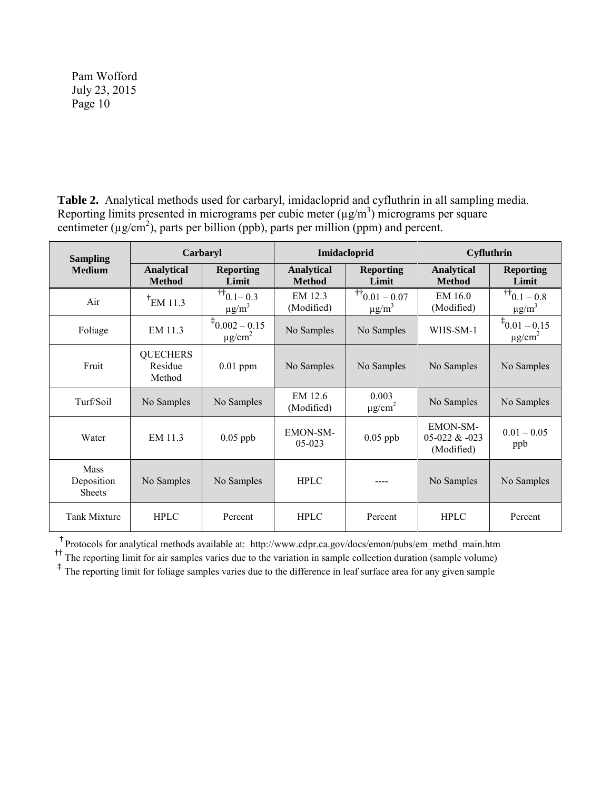**Table 2.** Analytical methods used for carbaryl, imidacloprid and cyfluthrin in all sampling media. Reporting limits presented in micrograms per cubic meter  $(\mu g/m^3)$  micrograms per square centimeter  $(\mu g/cm^2)$ , parts per billion (ppb), parts per million (ppm) and percent.

| <b>Sampling</b>                            | Carbaryl                             |                                                                 | Imidacloprid                       |                                                      | Cyfluthrin                                  |                                                     |
|--------------------------------------------|--------------------------------------|-----------------------------------------------------------------|------------------------------------|------------------------------------------------------|---------------------------------------------|-----------------------------------------------------|
| <b>Medium</b>                              | <b>Analytical</b><br><b>Method</b>   | <b>Reporting</b><br>Limit                                       | <b>Analytical</b><br><b>Method</b> | <b>Reporting</b><br>Limit                            | <b>Analytical</b><br><b>Method</b>          | <b>Reporting</b><br>Limit                           |
| Air                                        | $^7$ EM 11.3                         | $\text{ }^{\dagger\dagger}$ 0.1 – 0.3<br>$\mu$ g/m <sup>3</sup> | EM 12.3<br>(Modified)              | $\frac{1}{10}$ 0.01 - 0.07<br>$\mu$ g/m <sup>3</sup> | EM 16.0<br>(Modified)                       | $\frac{1}{10}$ 0.1 – 0.8<br>$\mu$ g/m <sup>3</sup>  |
| Foliage                                    | EM 11.3                              | $^{4}$ 0.002 - 0.15<br>$\mu$ g/cm <sup>2</sup>                  | No Samples                         | No Samples                                           | WHS-SM-1                                    | $\frac{1}{2}0.01 - 0.15$<br>$\mu$ g/cm <sup>2</sup> |
| Fruit                                      | <b>QUECHERS</b><br>Residue<br>Method | $0.01$ ppm                                                      | No Samples                         | No Samples                                           | No Samples                                  | No Samples                                          |
| Turf/Soil                                  | No Samples                           | No Samples                                                      | EM 12.6<br>(Modified)              | 0.003<br>$\mu$ g/cm <sup>2</sup>                     | No Samples                                  | No Samples                                          |
| Water                                      | EM 11.3                              | $0.05$ ppb                                                      | EMON-SM-<br>$05-023$               | $0.05$ ppb                                           | EMON-SM-<br>$05-022$ & $-023$<br>(Modified) | $0.01 - 0.05$<br>ppb                                |
| <b>Mass</b><br>Deposition<br><b>Sheets</b> | No Samples                           | No Samples                                                      | <b>HPLC</b>                        |                                                      | No Samples                                  | No Samples                                          |
| <b>Tank Mixture</b>                        | <b>HPLC</b>                          | Percent                                                         | <b>HPLC</b>                        | Percent                                              | <b>HPLC</b>                                 | Percent                                             |

 **†**Protocols for analytical methods available at: http://www.cdpr.ca.gov/docs/emon/pubs/em\_methd\_main.htm

<sup>††</sup> The reporting limit for air samples varies due to the variation in sample collection duration (sample volume)

<sup>‡</sup> The reporting limit for foliage samples varies due to the difference in leaf surface area for any given sample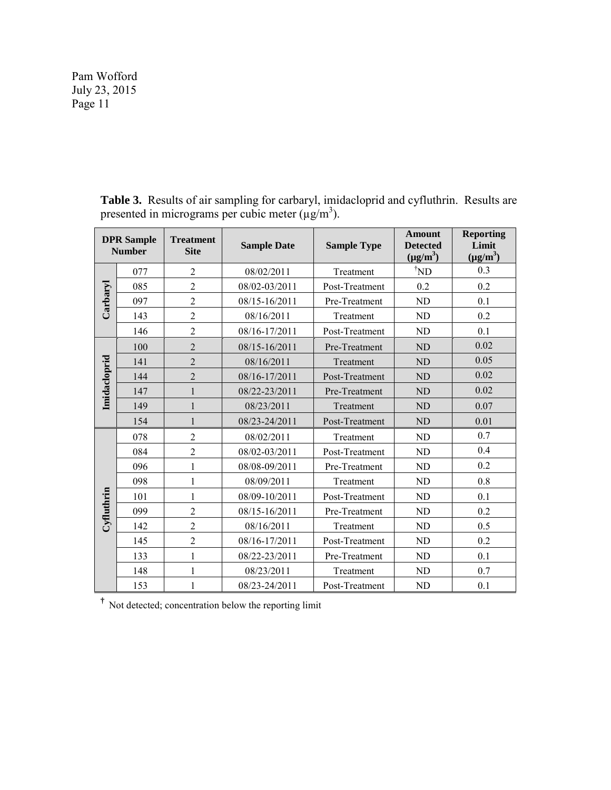| <b>DPR</b> Sample<br><b>Number</b> |     | <b>Treatment</b><br><b>Site</b> | <b>Sample Date</b><br><b>Sample Type</b> |                | <b>Amount</b><br><b>Detected</b><br>$(\mu g/m^3)$ | <b>Reporting</b><br>Limit<br>$(\mu g/m^3)$ |
|------------------------------------|-----|---------------------------------|------------------------------------------|----------------|---------------------------------------------------|--------------------------------------------|
|                                    | 077 | $\overline{2}$                  | 08/02/2011                               | Treatment      | $^{\dagger}ND$                                    | 0.3                                        |
|                                    | 085 | $\overline{2}$                  | 08/02-03/2011                            | Post-Treatment | 0.2                                               | 0.2                                        |
| Carbaryl                           | 097 | $\overline{2}$                  | 08/15-16/2011                            | Pre-Treatment  | ND                                                | 0.1                                        |
|                                    | 143 | $\overline{2}$                  | 08/16/2011                               | Treatment      | <b>ND</b>                                         | 0.2                                        |
|                                    | 146 | $\overline{2}$                  | 08/16-17/2011                            | Post-Treatment | ND                                                | 0.1                                        |
|                                    | 100 | $\overline{2}$                  | 08/15-16/2011                            | Pre-Treatment  | <b>ND</b>                                         | 0.02                                       |
|                                    | 141 | $\overline{2}$                  | 08/16/2011                               | Treatment      | ND                                                | 0.05                                       |
| Imidacloprid                       | 144 | $\overline{2}$                  | 08/16-17/2011                            | Post-Treatment | ND                                                | 0.02                                       |
|                                    | 147 | $\mathbf{1}$                    | 08/22-23/2011                            | Pre-Treatment  | <b>ND</b>                                         | 0.02                                       |
|                                    | 149 | $\mathbf{1}$                    | 08/23/2011                               | Treatment      | <b>ND</b>                                         | 0.07                                       |
|                                    | 154 | $\mathbf{1}$                    | 08/23-24/2011                            | Post-Treatment | <b>ND</b>                                         | 0.01                                       |
|                                    | 078 | $\overline{2}$                  | 08/02/2011                               | Treatment      | ND                                                | 0.7                                        |
|                                    | 084 | $\overline{2}$                  | 08/02-03/2011                            | Post-Treatment | <b>ND</b>                                         | 0.4                                        |
|                                    | 096 | 1                               | 08/08-09/2011                            | Pre-Treatment  | ND                                                | 0.2                                        |
|                                    | 098 | $\mathbf{1}$                    | 08/09/2011                               | Treatment      | <b>ND</b>                                         | 0.8                                        |
| Cyfluthrin                         | 101 | 1                               | 08/09-10/2011                            | Post-Treatment | <b>ND</b>                                         | 0.1                                        |
|                                    | 099 | $\overline{2}$                  | 08/15-16/2011                            | Pre-Treatment  | <b>ND</b>                                         | 0.2                                        |
|                                    | 142 | $\overline{2}$                  | 08/16/2011                               | Treatment      | <b>ND</b>                                         | 0.5                                        |
|                                    | 145 | $\overline{2}$                  | 08/16-17/2011                            | Post-Treatment | ND                                                | 0.2                                        |
|                                    | 133 | 1                               | 08/22-23/2011                            | Pre-Treatment  | ND                                                | 0.1                                        |
|                                    | 148 | 1                               | 08/23/2011                               | Treatment      | ND                                                | 0.7                                        |
|                                    | 153 | 1                               | 08/23-24/2011                            | Post-Treatment | ND                                                | 0.1                                        |

**Table 3.** Results of air sampling for carbaryl, imidacloprid and cyfluthrin. Results are presented in micrograms per cubic meter  $(\mu g/m^3)$ .

**†** Not detected; concentration below the reporting limit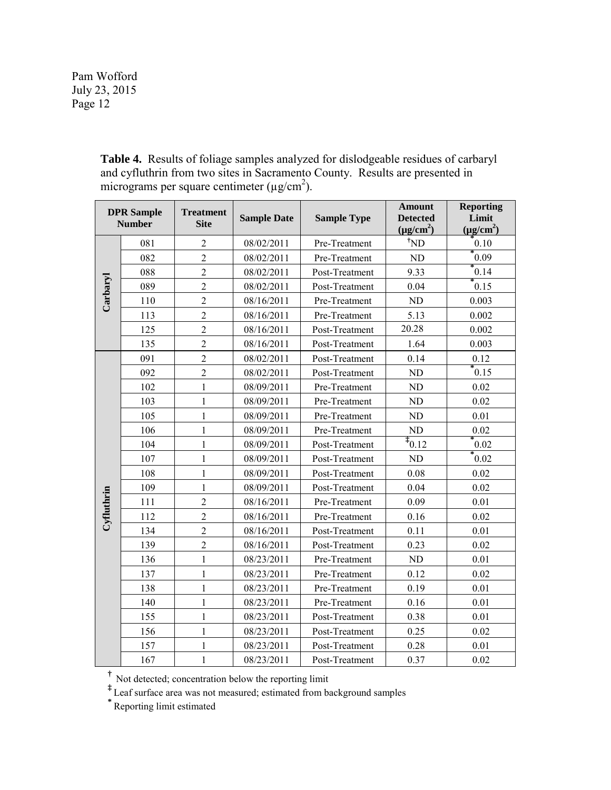**Table 4.** Results of foliage samples analyzed for dislodgeable residues of carbaryl and cyfluthrin from two sites in Sacramento County. Results are presented in micrograms per square centimeter ( $\mu$ g/cm<sup>2</sup>).

| <b>DPR</b> Sample<br><b>Number</b> |     | <b>Treatment</b><br><b>Site</b> | <b>Sample Date</b> | <b>Sample Type</b> | <b>Amount</b><br><b>Detected</b><br>$(\mu g/cm^2)$ | <b>Reporting</b><br>Limit<br>$(\mu g/cm^2)$ |
|------------------------------------|-----|---------------------------------|--------------------|--------------------|----------------------------------------------------|---------------------------------------------|
|                                    | 081 | $\overline{2}$                  | 08/02/2011         | Pre-Treatment      | $^{\dagger}ND$                                     | 0.10                                        |
|                                    | 082 | $\overline{2}$                  | 08/02/2011         | Pre-Treatment      | <b>ND</b>                                          | 0.09                                        |
|                                    | 088 | $\overline{2}$                  | 08/02/2011         | Post-Treatment     | 9.33                                               | 0.14                                        |
|                                    | 089 | $\overline{2}$                  | 08/02/2011         | Post-Treatment     | 0.04                                               | 0.15                                        |
| Carbaryl                           | 110 | $\overline{2}$                  | 08/16/2011         | Pre-Treatment      | ND                                                 | 0.003                                       |
|                                    | 113 | $\overline{2}$                  | 08/16/2011         | Pre-Treatment      | 5.13                                               | 0.002                                       |
|                                    | 125 | $\overline{2}$                  | 08/16/2011         | Post-Treatment     | 20.28                                              | 0.002                                       |
|                                    | 135 | $\overline{2}$                  | 08/16/2011         | Post-Treatment     | 1.64                                               | 0.003                                       |
|                                    | 091 | $\overline{2}$                  | 08/02/2011         | Post-Treatment     | 0.14                                               | 0.12                                        |
|                                    | 092 | $\overline{2}$                  | 08/02/2011         | Post-Treatment     | ND                                                 | 0.15                                        |
|                                    | 102 | $\mathbf{1}$                    | 08/09/2011         | Pre-Treatment      | ND                                                 | 0.02                                        |
|                                    | 103 | $\mathbf{1}$                    | 08/09/2011         | Pre-Treatment      | ND                                                 | 0.02                                        |
|                                    | 105 | $\mathbf{1}$                    | 08/09/2011         | Pre-Treatment      | ND                                                 | 0.01                                        |
|                                    | 106 | $\mathbf{1}$                    | 08/09/2011         | Pre-Treatment      | ND                                                 | 0.02                                        |
|                                    | 104 | $\mathbf{1}$                    | 08/09/2011         | Post-Treatment     | $t_{0.12}$                                         | 0.02                                        |
|                                    | 107 | $\mathbf{1}$                    | 08/09/2011         | Post-Treatment     | ND                                                 | 0.02                                        |
|                                    | 108 | $\mathbf{1}$                    | 08/09/2011         | Post-Treatment     | 0.08                                               | 0.02                                        |
|                                    | 109 | $\mathbf{1}$                    | 08/09/2011         | Post-Treatment     | 0.04                                               | 0.02                                        |
| $Cy$ fluthrin                      | 111 | $\overline{2}$                  | 08/16/2011         | Pre-Treatment      | 0.09                                               | 0.01                                        |
|                                    | 112 | $\overline{2}$                  | 08/16/2011         | Pre-Treatment      | 0.16                                               | 0.02                                        |
|                                    | 134 | $\overline{2}$                  | 08/16/2011         | Post-Treatment     | 0.11                                               | 0.01                                        |
|                                    | 139 | $\overline{2}$                  | 08/16/2011         | Post-Treatment     | 0.23                                               | 0.02                                        |
|                                    | 136 | $\mathbf{1}$                    | 08/23/2011         | Pre-Treatment      | ND                                                 | 0.01                                        |
|                                    | 137 | $\mathbf{1}$                    | 08/23/2011         | Pre-Treatment      | 0.12                                               | 0.02                                        |
|                                    | 138 | $\mathbf{1}$                    | 08/23/2011         | Pre-Treatment      | 0.19                                               | 0.01                                        |
|                                    | 140 | $\mathbf{1}$                    | 08/23/2011         | Pre-Treatment      | 0.16                                               | 0.01                                        |
|                                    | 155 | $\mathbf{1}$                    | 08/23/2011         | Post-Treatment     | 0.38                                               | 0.01                                        |
|                                    | 156 | $\mathbf{1}$                    | 08/23/2011         | Post-Treatment     | 0.25                                               | 0.02                                        |
|                                    | 157 | 1                               | 08/23/2011         | Post-Treatment     | 0.28                                               | 0.01                                        |
|                                    | 167 | $\mathbf{1}$                    | 08/23/2011         | Post-Treatment     | 0.37                                               | 0.02                                        |

**†** Not detected; concentration below the reporting limit

**‡** Leaf surface area was not measured; estimated from background samples

**\*** Reporting limit estimated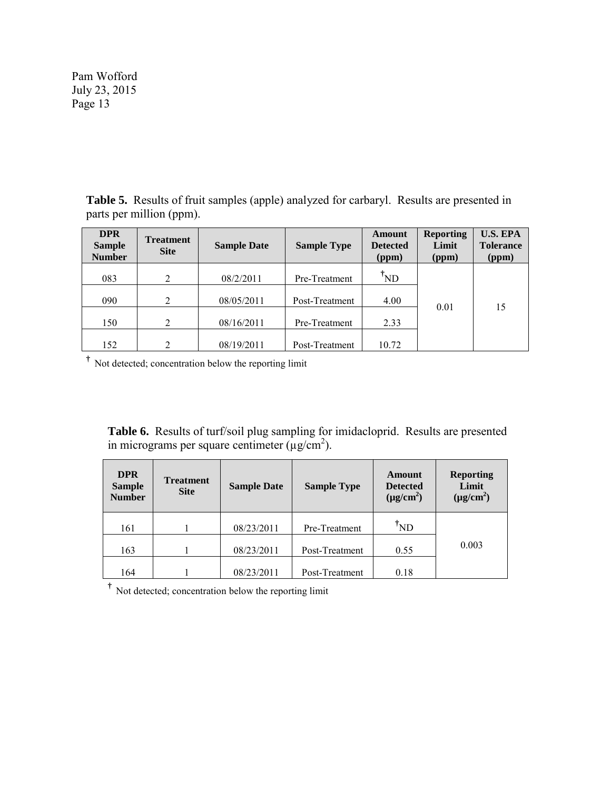**Table 5.** Results of fruit samples (apple) analyzed for carbaryl. Results are presented in parts per million (ppm).

| <b>DPR</b><br><b>Sample</b><br><b>Number</b> | <b>Treatment</b><br><b>Site</b> | <b>Sample Date</b> | <b>Sample Type</b> | Amount<br><b>Detected</b><br>(ppm) | <b>Reporting</b><br>Limit<br>(ppm) | <b>U.S. EPA</b><br><b>Tolerance</b><br>(ppm) |
|----------------------------------------------|---------------------------------|--------------------|--------------------|------------------------------------|------------------------------------|----------------------------------------------|
| 083                                          | $\overline{2}$                  | 08/2/2011          | Pre-Treatment      | $\boldsymbol{N}$                   |                                    |                                              |
| 090                                          | 2                               | 08/05/2011         | Post-Treatment     | 4.00                               | 0.01                               | 15                                           |
| 150                                          | 2                               | 08/16/2011         | Pre-Treatment      | 2.33                               |                                    |                                              |
| 152                                          | $\overline{2}$                  | 08/19/2011         | Post-Treatment     | 10.72                              |                                    |                                              |

**†** Not detected; concentration below the reporting limit

**Table 6.** Results of turf/soil plug sampling for imidacloprid. Results are presented in micrograms per square centimeter  $(\mu g/cm^2)$ .

| <b>DPR</b><br><b>Sample</b><br><b>Number</b> | <b>Treatment</b><br><b>Site</b> | <b>Sample Date</b> | <b>Sample Type</b> | Amount<br><b>Detected</b><br>$(\mu g/cm^2)$ | <b>Reporting</b><br>Limit<br>$(\mu g/cm^2)$ |
|----------------------------------------------|---------------------------------|--------------------|--------------------|---------------------------------------------|---------------------------------------------|
| 161                                          |                                 | 08/23/2011         | Pre-Treatment      | $\boldsymbol{\mathsf{\dot{\Gamma}ND}}$      |                                             |
| 163                                          |                                 | 08/23/2011         | Post-Treatment     |                                             | 0.003                                       |
| 164                                          |                                 | 08/23/2011         | Post-Treatment     | 0.18                                        |                                             |

**†** Not detected; concentration below the reporting limit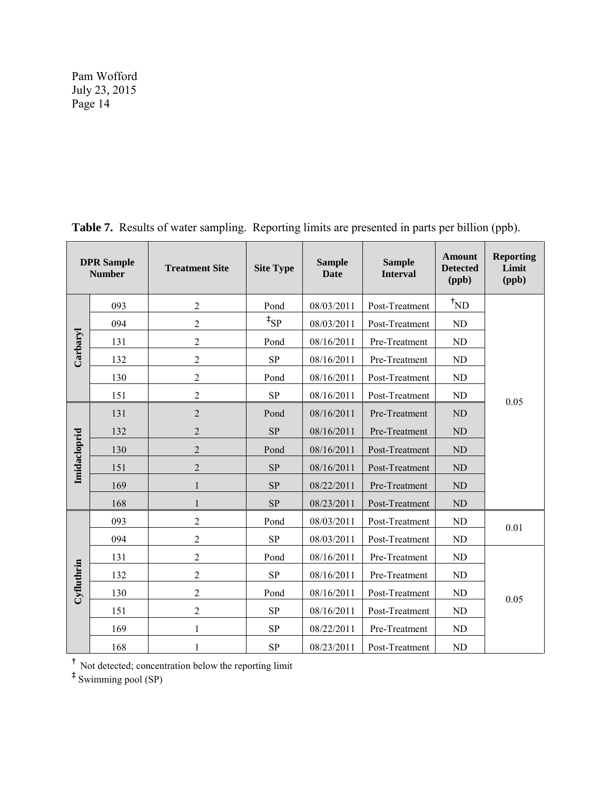| <b>DPR</b> Sample<br><b>Number</b> |     | <b>Treatment Site</b> | <b>Site Type</b>    | <b>Sample</b><br><b>Date</b> | <b>Sample</b><br><b>Interval</b> | <b>Amount</b><br><b>Detected</b><br>(ppb) | <b>Reporting</b><br>Limit<br>(ppb) |  |
|------------------------------------|-----|-----------------------|---------------------|------------------------------|----------------------------------|-------------------------------------------|------------------------------------|--|
|                                    | 093 | $\overline{2}$        | Pond                | 08/03/2011                   | Post-Treatment                   | $\boldsymbol{N}$                          |                                    |  |
|                                    | 094 | $\overline{c}$        | $\overline{f}_{SP}$ | 08/03/2011                   | Post-Treatment                   | ND                                        |                                    |  |
| Carbaryl                           | 131 | $\overline{2}$        | Pond                | 08/16/2011                   | Pre-Treatment                    | ND                                        |                                    |  |
|                                    | 132 | $\overline{c}$        | <b>SP</b>           | 08/16/2011                   | Pre-Treatment                    | ND                                        |                                    |  |
|                                    | 130 | $\overline{2}$        | Pond                | 08/16/2011                   | Post-Treatment                   | ND                                        |                                    |  |
|                                    | 151 | $\overline{2}$        | <b>SP</b>           | 08/16/2011                   | Post-Treatment                   | ND                                        | 0.05                               |  |
|                                    | 131 | $\mathbf 2$           | Pond                | 08/16/2011                   | Pre-Treatment                    | ND                                        |                                    |  |
|                                    | 132 | $\overline{c}$        | <b>SP</b>           | 08/16/2011                   | Pre-Treatment                    | ND                                        |                                    |  |
|                                    | 130 | $\overline{2}$        | Pond                | 08/16/2011                   | Post-Treatment                   | ND                                        |                                    |  |
| Imidacloprid                       | 151 | $\overline{c}$        | <b>SP</b>           | 08/16/2011                   | Post-Treatment                   | ND                                        |                                    |  |
|                                    | 169 | 1                     | <b>SP</b>           | 08/22/2011                   | Pre-Treatment                    | ND                                        |                                    |  |
|                                    | 168 | $\mathbf{1}$          | <b>SP</b>           | 08/23/2011                   | Post-Treatment                   | ND                                        |                                    |  |
|                                    | 093 | $\overline{2}$        | Pond                | 08/03/2011                   | Post-Treatment                   | ND                                        | 0.01                               |  |
|                                    | 094 | $\overline{c}$        | <b>SP</b>           | 08/03/2011                   | Post-Treatment                   | ND                                        |                                    |  |
|                                    | 131 | $\overline{c}$        | Pond                | 08/16/2011                   | Pre-Treatment                    | ND                                        |                                    |  |
|                                    | 132 | $\overline{2}$        | <b>SP</b>           | 08/16/2011                   | Pre-Treatment                    | ND                                        |                                    |  |
| Cyfluthrin                         | 130 | $\overline{2}$        | Pond                | 08/16/2011                   | Post-Treatment                   | ND                                        | 0.05                               |  |
|                                    | 151 | $\overline{2}$        | <b>SP</b>           | 08/16/2011                   | Post-Treatment                   | ND                                        |                                    |  |
|                                    | 169 | 1                     | <b>SP</b>           | 08/22/2011                   | Pre-Treatment                    | ND                                        |                                    |  |
|                                    | 168 | 1                     | <b>SP</b>           | 08/23/2011                   | Post-Treatment                   | ND                                        |                                    |  |

**Table 7.** Results of water sampling. Reporting limits are presented in parts per billion (ppb).

**†** Not detected; concentration below the reporting limit **‡** Swimming pool (SP)